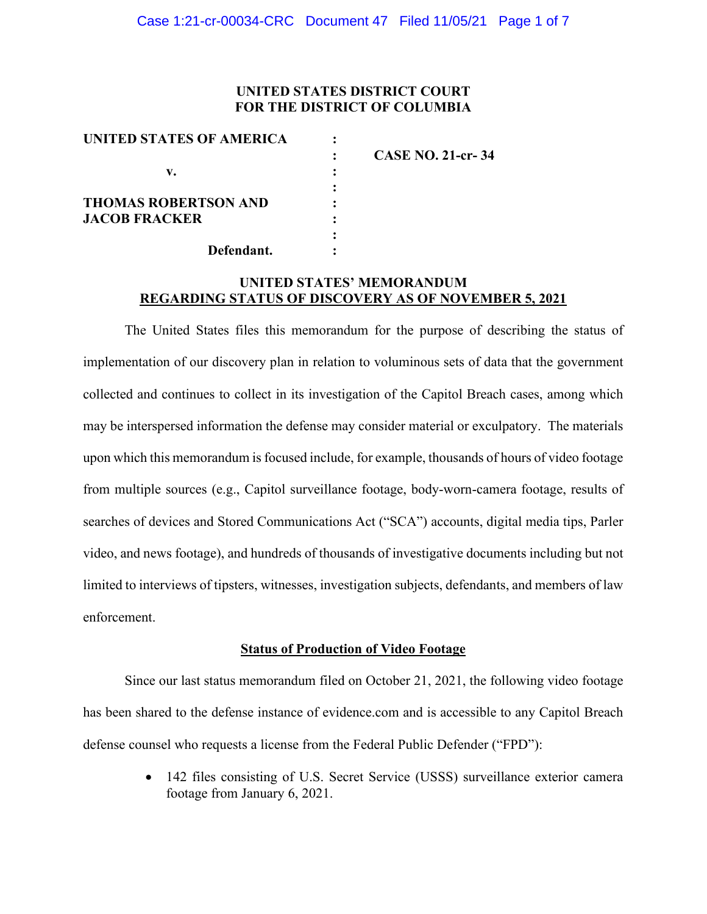## **UNITED STATES DISTRICT COURT FOR THE DISTRICT OF COLUMBIA**

| UNITED STATES OF AMERICA    |                          |
|-----------------------------|--------------------------|
|                             | <b>CASE NO. 21-cr-34</b> |
| v.                          |                          |
|                             |                          |
| <b>THOMAS ROBERTSON AND</b> |                          |
| <b>JACOB FRACKER</b>        |                          |
|                             |                          |
| Defendant.                  |                          |

### **UNITED STATES' MEMORANDUM REGARDING STATUS OF DISCOVERY AS OF NOVEMBER 5, 2021**

The United States files this memorandum for the purpose of describing the status of implementation of our discovery plan in relation to voluminous sets of data that the government collected and continues to collect in its investigation of the Capitol Breach cases, among which may be interspersed information the defense may consider material or exculpatory. The materials upon which this memorandum is focused include, for example, thousands of hours of video footage from multiple sources (e.g., Capitol surveillance footage, body-worn-camera footage, results of searches of devices and Stored Communications Act ("SCA") accounts, digital media tips, Parler video, and news footage), and hundreds of thousands of investigative documents including but not limited to interviews of tipsters, witnesses, investigation subjects, defendants, and members of law enforcement.

### **Status of Production of Video Footage**

Since our last status memorandum filed on October 21, 2021, the following video footage has been shared to the defense instance of evidence.com and is accessible to any Capitol Breach defense counsel who requests a license from the Federal Public Defender ("FPD"):

> • 142 files consisting of U.S. Secret Service (USSS) surveillance exterior camera footage from January 6, 2021.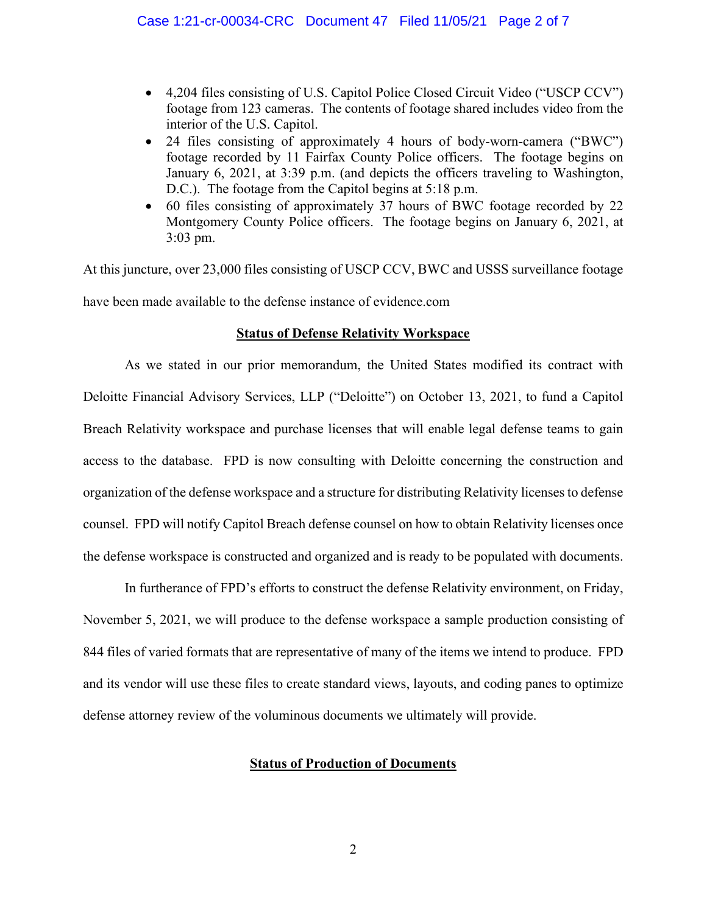- 4,204 files consisting of U.S. Capitol Police Closed Circuit Video ("USCP CCV") footage from 123 cameras. The contents of footage shared includes video from the interior of the U.S. Capitol.
- 24 files consisting of approximately 4 hours of body-worn-camera ("BWC") footage recorded by 11 Fairfax County Police officers. The footage begins on January 6, 2021, at 3:39 p.m. (and depicts the officers traveling to Washington, D.C.). The footage from the Capitol begins at 5:18 p.m.
- 60 files consisting of approximately 37 hours of BWC footage recorded by 22 Montgomery County Police officers. The footage begins on January 6, 2021, at 3:03 pm.

At this juncture, over 23,000 files consisting of USCP CCV, BWC and USSS surveillance footage have been made available to the defense instance of evidence.com

### **Status of Defense Relativity Workspace**

As we stated in our prior memorandum, the United States modified its contract with Deloitte Financial Advisory Services, LLP ("Deloitte") on October 13, 2021, to fund a Capitol Breach Relativity workspace and purchase licenses that will enable legal defense teams to gain access to the database. FPD is now consulting with Deloitte concerning the construction and organization of the defense workspace and a structure for distributing Relativity licenses to defense counsel. FPD will notify Capitol Breach defense counsel on how to obtain Relativity licenses once the defense workspace is constructed and organized and is ready to be populated with documents.

In furtherance of FPD's efforts to construct the defense Relativity environment, on Friday, November 5, 2021, we will produce to the defense workspace a sample production consisting of 844 files of varied formats that are representative of many of the items we intend to produce. FPD and its vendor will use these files to create standard views, layouts, and coding panes to optimize defense attorney review of the voluminous documents we ultimately will provide.

### **Status of Production of Documents**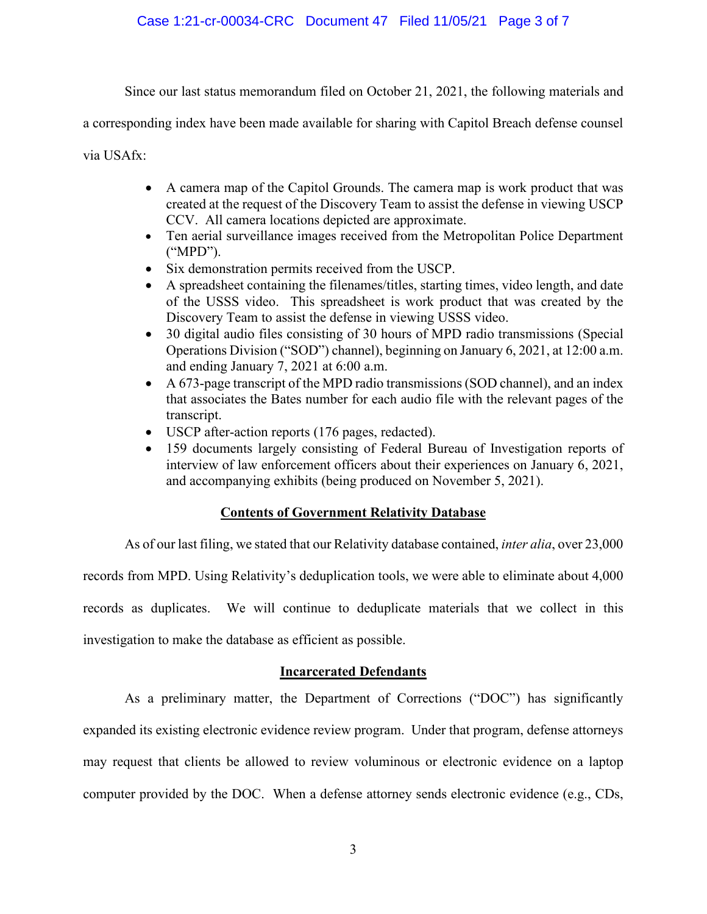Since our last status memorandum filed on October 21, 2021, the following materials and

a corresponding index have been made available for sharing with Capitol Breach defense counsel

via USAfx:

- A camera map of the Capitol Grounds. The camera map is work product that was created at the request of the Discovery Team to assist the defense in viewing USCP CCV. All camera locations depicted are approximate.
- Ten aerial surveillance images received from the Metropolitan Police Department ("MPD").
- Six demonstration permits received from the USCP.
- A spreadsheet containing the filenames/titles, starting times, video length, and date of the USSS video. This spreadsheet is work product that was created by the Discovery Team to assist the defense in viewing USSS video.
- 30 digital audio files consisting of 30 hours of MPD radio transmissions (Special Operations Division ("SOD") channel), beginning on January 6, 2021, at 12:00 a.m. and ending January 7, 2021 at 6:00 a.m.
- A 673-page transcript of the MPD radio transmissions (SOD channel), and an index that associates the Bates number for each audio file with the relevant pages of the transcript.
- USCP after-action reports (176 pages, redacted).
- 159 documents largely consisting of Federal Bureau of Investigation reports of interview of law enforcement officers about their experiences on January 6, 2021, and accompanying exhibits (being produced on November 5, 2021).

# **Contents of Government Relativity Database**

As of our last filing, we stated that our Relativity database contained, *inter alia*, over 23,000

records from MPD. Using Relativity's deduplication tools, we were able to eliminate about 4,000

records as duplicates. We will continue to deduplicate materials that we collect in this

investigation to make the database as efficient as possible.

## **Incarcerated Defendants**

As a preliminary matter, the Department of Corrections ("DOC") has significantly expanded its existing electronic evidence review program. Under that program, defense attorneys may request that clients be allowed to review voluminous or electronic evidence on a laptop computer provided by the DOC. When a defense attorney sends electronic evidence (e.g., CDs,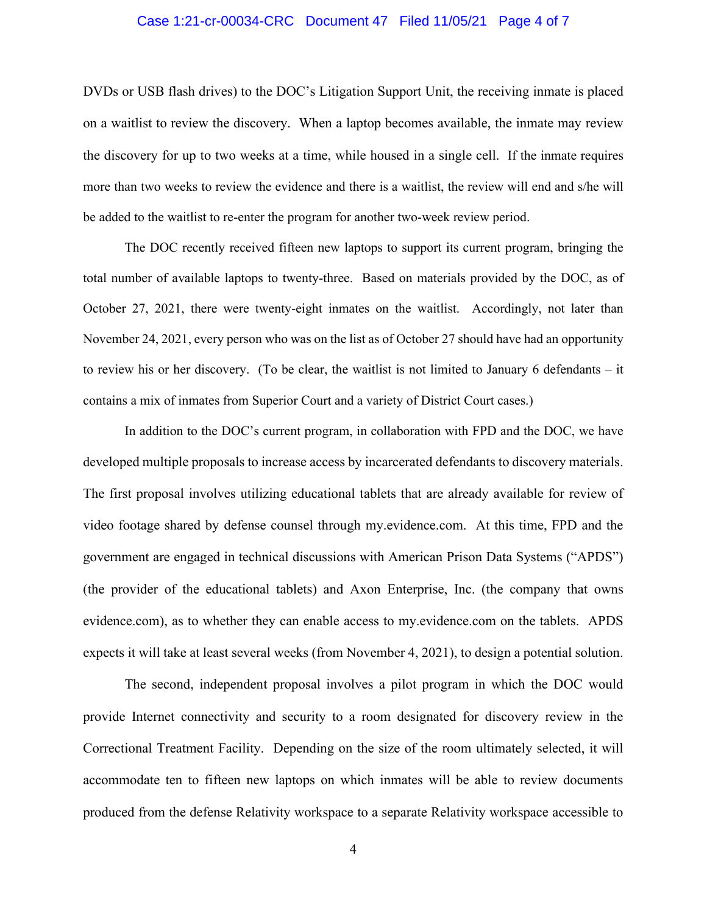#### Case 1:21-cr-00034-CRC Document 47 Filed 11/05/21 Page 4 of 7

DVDs or USB flash drives) to the DOC's Litigation Support Unit, the receiving inmate is placed on a waitlist to review the discovery. When a laptop becomes available, the inmate may review the discovery for up to two weeks at a time, while housed in a single cell. If the inmate requires more than two weeks to review the evidence and there is a waitlist, the review will end and s/he will be added to the waitlist to re-enter the program for another two-week review period.

The DOC recently received fifteen new laptops to support its current program, bringing the total number of available laptops to twenty-three. Based on materials provided by the DOC, as of October 27, 2021, there were twenty-eight inmates on the waitlist. Accordingly, not later than November 24, 2021, every person who was on the list as of October 27 should have had an opportunity to review his or her discovery. (To be clear, the waitlist is not limited to January 6 defendants – it contains a mix of inmates from Superior Court and a variety of District Court cases.)

In addition to the DOC's current program, in collaboration with FPD and the DOC, we have developed multiple proposals to increase access by incarcerated defendants to discovery materials. The first proposal involves utilizing educational tablets that are already available for review of video footage shared by defense counsel through my.evidence.com. At this time, FPD and the government are engaged in technical discussions with American Prison Data Systems ("APDS") (the provider of the educational tablets) and Axon Enterprise, Inc. (the company that owns evidence.com), as to whether they can enable access to my.evidence.com on the tablets. APDS expects it will take at least several weeks (from November 4, 2021), to design a potential solution.

The second, independent proposal involves a pilot program in which the DOC would provide Internet connectivity and security to a room designated for discovery review in the Correctional Treatment Facility. Depending on the size of the room ultimately selected, it will accommodate ten to fifteen new laptops on which inmates will be able to review documents produced from the defense Relativity workspace to a separate Relativity workspace accessible to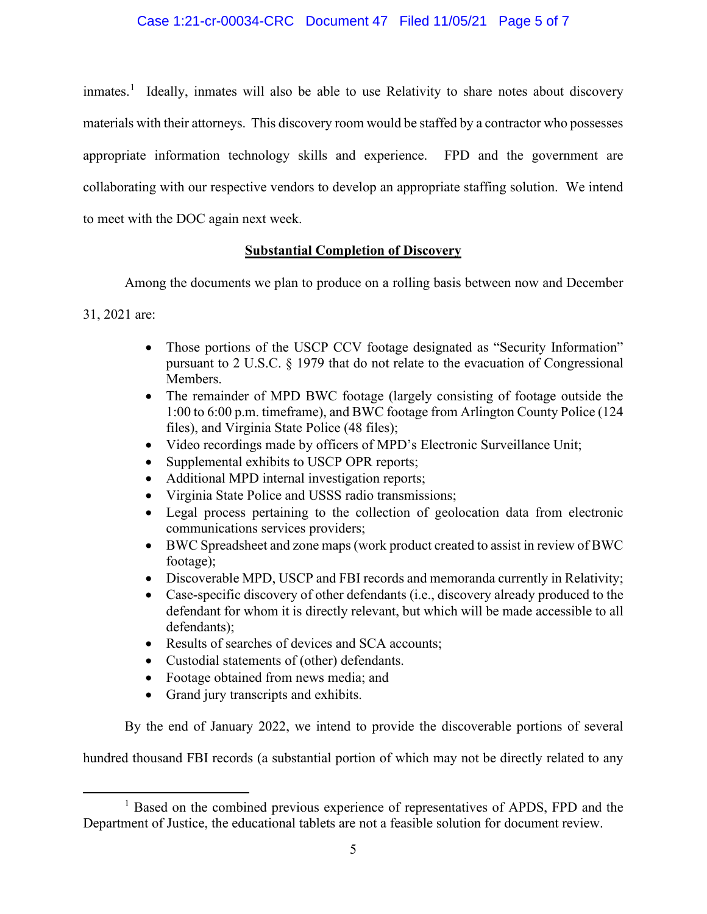## Case 1:21-cr-00034-CRC Document 47 Filed 11/05/21 Page 5 of 7

inmates.<sup>1</sup> Ideally, inmates will also be able to use Relativity to share notes about discovery materials with their attorneys. This discovery room would be staffed by a contractor who possesses appropriate information technology skills and experience. FPD and the government are collaborating with our respective vendors to develop an appropriate staffing solution. We intend to meet with the DOC again next week.

## **Substantial Completion of Discovery**

Among the documents we plan to produce on a rolling basis between now and December

31, 2021 are:

- Those portions of the USCP CCV footage designated as "Security Information" pursuant to 2 U.S.C. § 1979 that do not relate to the evacuation of Congressional Members.
- The remainder of MPD BWC footage (largely consisting of footage outside the 1:00 to 6:00 p.m. timeframe), and BWC footage from Arlington County Police (124 files), and Virginia State Police (48 files);
- Video recordings made by officers of MPD's Electronic Surveillance Unit;
- Supplemental exhibits to USCP OPR reports;
- Additional MPD internal investigation reports;
- Virginia State Police and USSS radio transmissions;
- Legal process pertaining to the collection of geolocation data from electronic communications services providers;
- BWC Spreadsheet and zone maps (work product created to assist in review of BWC footage);
- Discoverable MPD, USCP and FBI records and memoranda currently in Relativity;
- Case-specific discovery of other defendants (i.e., discovery already produced to the defendant for whom it is directly relevant, but which will be made accessible to all defendants);
- Results of searches of devices and SCA accounts;
- Custodial statements of (other) defendants.
- Footage obtained from news media; and
- Grand jury transcripts and exhibits.

By the end of January 2022, we intend to provide the discoverable portions of several

hundred thousand FBI records (a substantial portion of which may not be directly related to any

<sup>&</sup>lt;sup>1</sup> Based on the combined previous experience of representatives of APDS, FPD and the Department of Justice, the educational tablets are not a feasible solution for document review.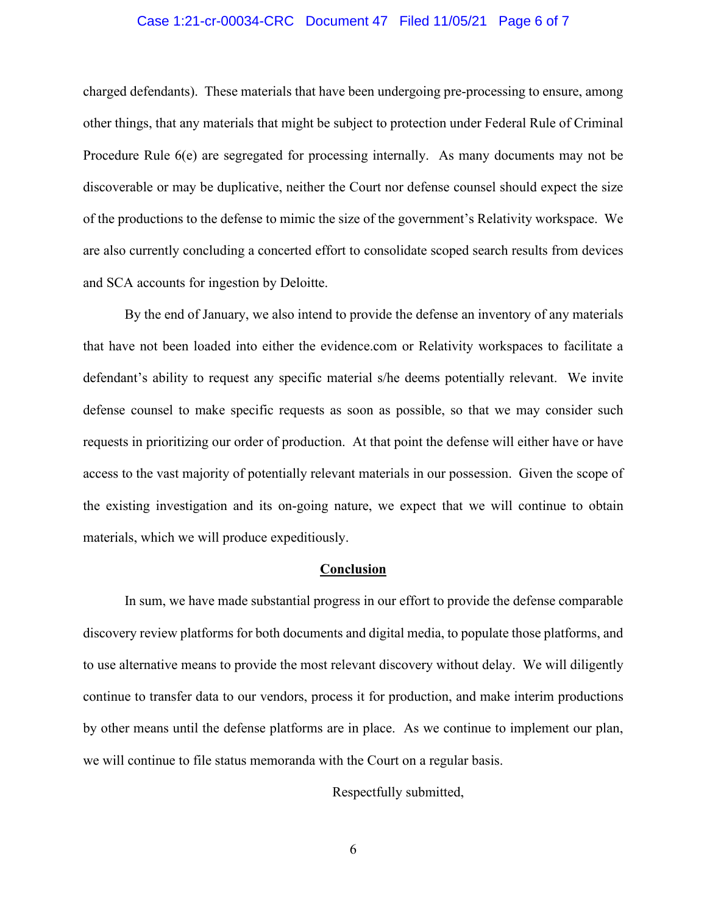#### Case 1:21-cr-00034-CRC Document 47 Filed 11/05/21 Page 6 of 7

charged defendants). These materials that have been undergoing pre-processing to ensure, among other things, that any materials that might be subject to protection under Federal Rule of Criminal Procedure Rule 6(e) are segregated for processing internally. As many documents may not be discoverable or may be duplicative, neither the Court nor defense counsel should expect the size of the productions to the defense to mimic the size of the government's Relativity workspace. We are also currently concluding a concerted effort to consolidate scoped search results from devices and SCA accounts for ingestion by Deloitte.

By the end of January, we also intend to provide the defense an inventory of any materials that have not been loaded into either the evidence.com or Relativity workspaces to facilitate a defendant's ability to request any specific material s/he deems potentially relevant. We invite defense counsel to make specific requests as soon as possible, so that we may consider such requests in prioritizing our order of production. At that point the defense will either have or have access to the vast majority of potentially relevant materials in our possession. Given the scope of the existing investigation and its on-going nature, we expect that we will continue to obtain materials, which we will produce expeditiously.

#### **Conclusion**

In sum, we have made substantial progress in our effort to provide the defense comparable discovery review platforms for both documents and digital media, to populate those platforms, and to use alternative means to provide the most relevant discovery without delay. We will diligently continue to transfer data to our vendors, process it for production, and make interim productions by other means until the defense platforms are in place. As we continue to implement our plan, we will continue to file status memoranda with the Court on a regular basis.

Respectfully submitted,

6